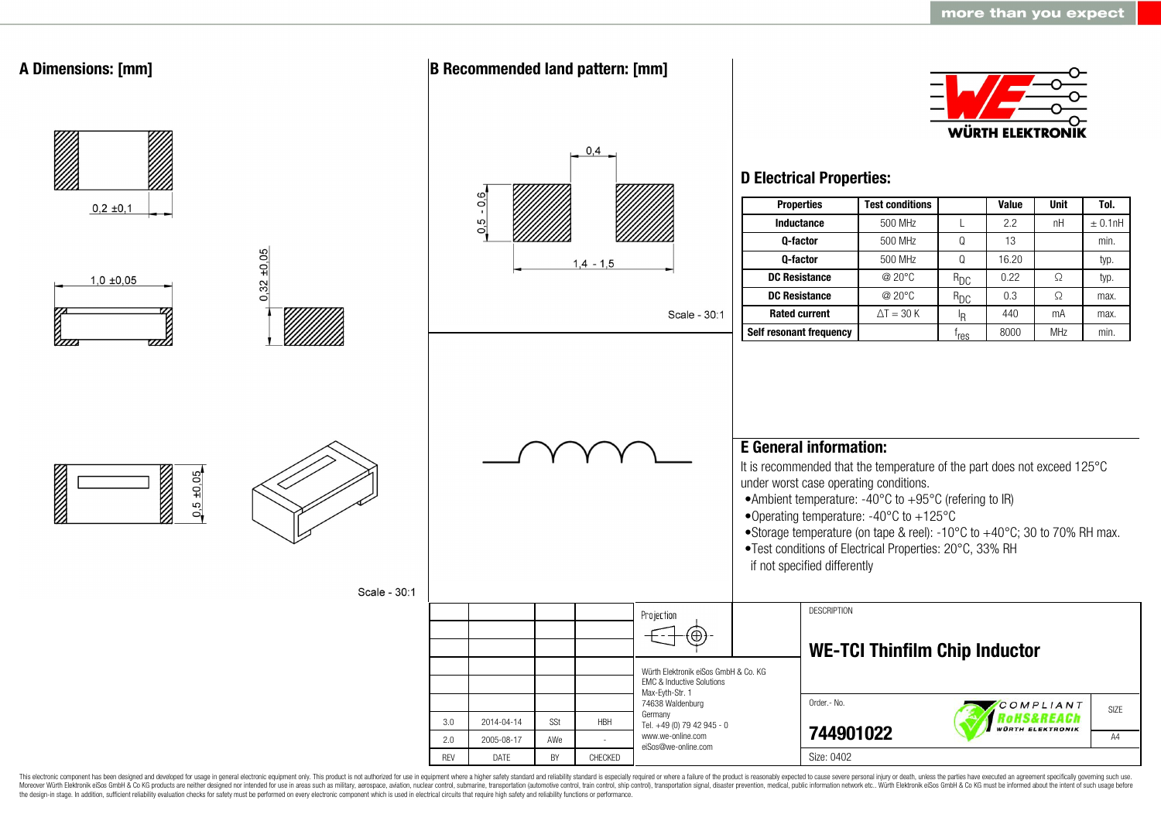

This electronic component has been designed and developed for usage in general electronic equipment only. This product is not authorized for use in equipment where a higher safety standard and reliability standard is espec Moreover Würth Elektronik eiSos GmbH & Co KG products are neither designed nor intended for use in areas such as military, aerospace, aviation, nuclear control, submarine, transportation (automotive control, ship control), the design-in stage. In addition, sufficient reliability evaluation checks for safety must be performed on every electronic component which is used in electrical circuits that require high safety and reliability functions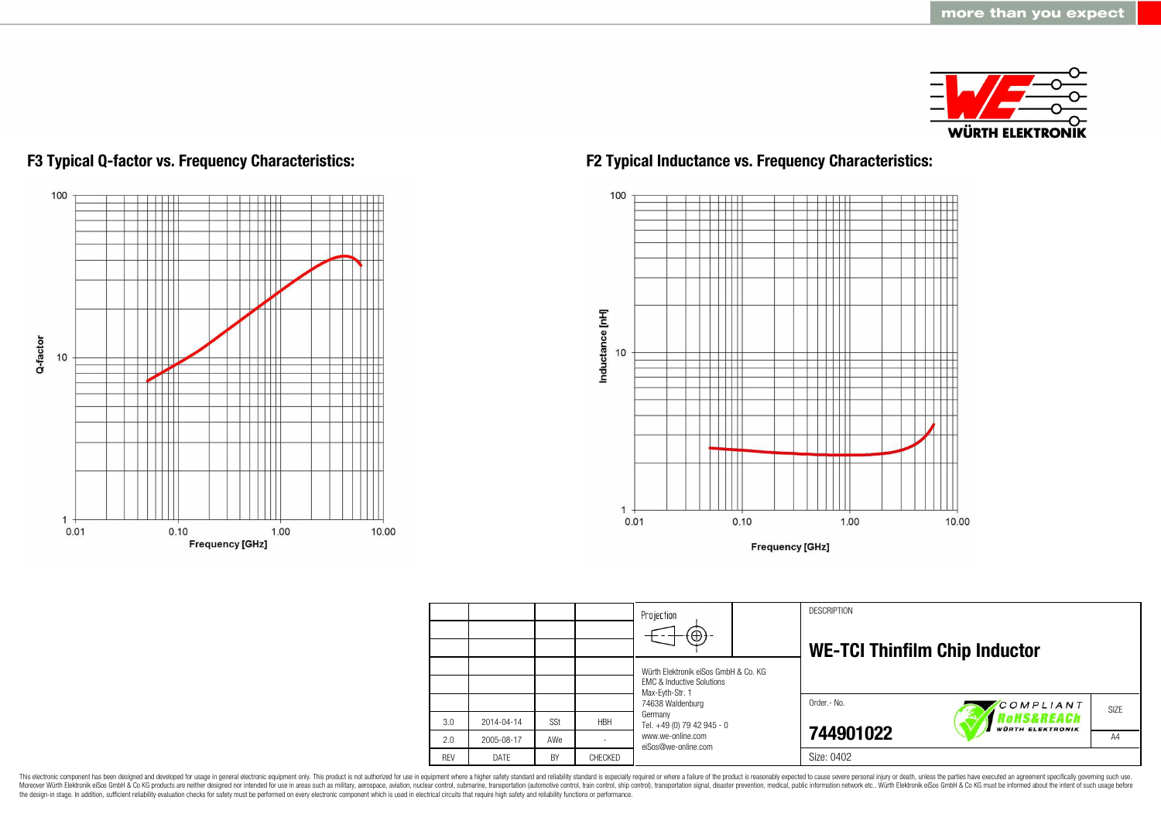



## **F3 Typical Q-factor vs. Frequency Characteristics: F2 Typical Inductance vs. Frequency Characteristics:**



**Frequency [GHz]** 



This electronic component has been designed and developed for usage in general electronic equipment only. This product is not authorized for use in equipment where a higher safety standard and reliability standard and reli Moreover Würth Elektronik eiSos GmbH & Co KG products are neither designed nor intended for use in areas such as military, aerospace, aviation, nuclear control, submarine, transportation (automotive control), stain control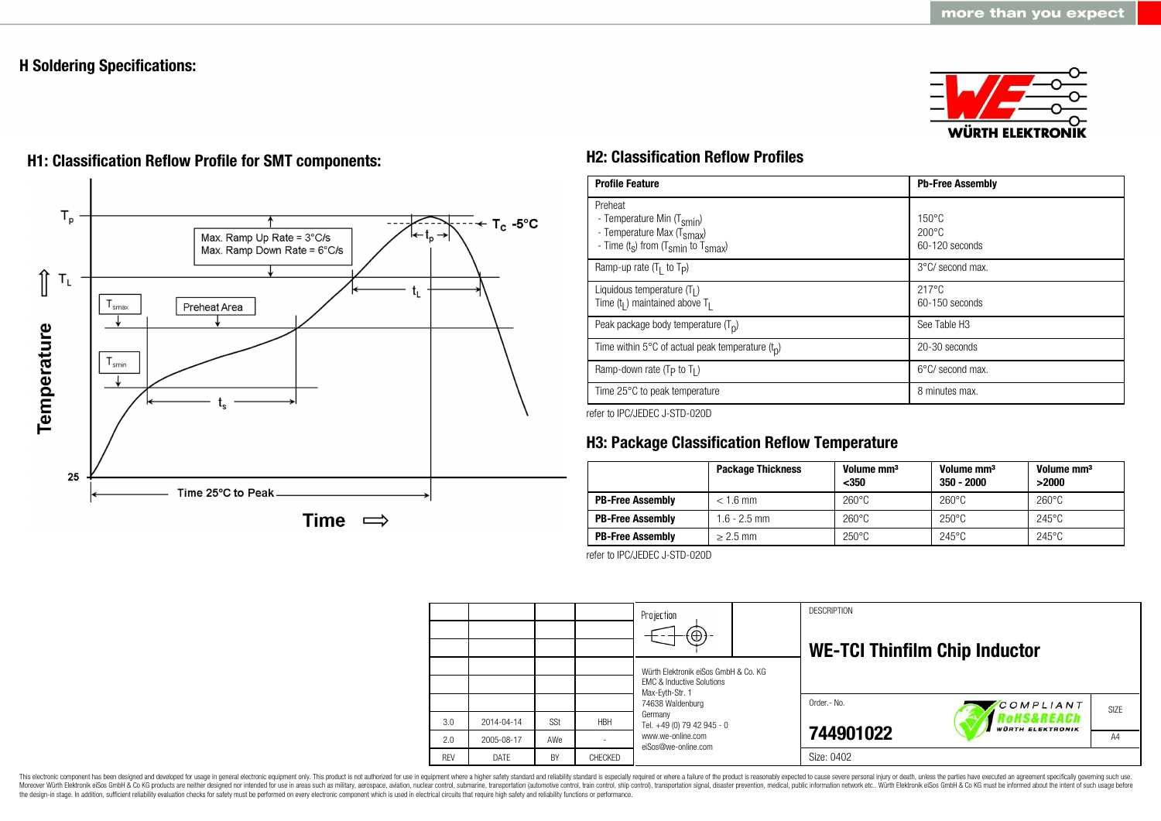## **H Soldering Specifications:**





# **H1: Classification Reflow Profile for SMT components: H2: Classification Reflow Profiles**

| <b>Profile Feature</b>                                                                                                                        | <b>Pb-Free Assembly</b>                             |  |  |
|-----------------------------------------------------------------------------------------------------------------------------------------------|-----------------------------------------------------|--|--|
| Preheat<br>- Temperature Min (T <sub>smin</sub> )<br>- Temperature Max (T <sub>Smax</sub> )<br>- Time $(t_s)$ from $(T_{smin}$ to $T_{smax})$ | $150^{\circ}$ C<br>$200\degree$ C<br>60-120 seconds |  |  |
| Ramp-up rate $(T_1$ to $T_p$ )                                                                                                                | 3°C/ second max.                                    |  |  |
| Liquidous temperature $(T1)$<br>Time $(t_1)$ maintained above $T_1$                                                                           | $217^{\circ}$ C<br>60-150 seconds                   |  |  |
| Peak package body temperature $(T_p)$                                                                                                         | See Table H <sub>3</sub>                            |  |  |
| Time within 5°C of actual peak temperature $(t_n)$                                                                                            | 20-30 seconds                                       |  |  |
| Ramp-down rate ( $T_P$ to $T_I$ )                                                                                                             | 6°C/ second max.                                    |  |  |
| Time 25°C to peak temperature                                                                                                                 | 8 minutes max.                                      |  |  |

refer to IPC/JEDEC J-STD-020D

## **H3: Package Classification Reflow Temperature**

|                         | <b>Package Thickness</b> | Volume mm <sup>3</sup><br>$350$ | Volume mm <sup>3</sup><br>$350 - 2000$ | Volume mm <sup>3</sup><br>>2000 |
|-------------------------|--------------------------|---------------------------------|----------------------------------------|---------------------------------|
| <b>PB-Free Assembly</b> | $< 1.6$ mm               | $260^{\circ}$ C                 | $260^{\circ}$ C                        | $260^{\circ}$ C                 |
| <b>PB-Free Assembly</b> | $1.6 - 2.5$ mm           | $260^{\circ}$ C                 | $250^{\circ}$ C                        | $245^{\circ}$ C                 |
| <b>PB-Free Assembly</b> | $\geq$ 2.5 mm            | $250^{\circ}$ C                 | $245^{\circ}$ C                        | $245^{\circ}$ C                 |

refer to IPC/JEDEC J-STD-020D



This electronic component has been designed and developed for usage in general electronic equipment only. This product is not authorized for use in equipment where a higher safety standard and reliability standard is espec Moreover Würth Elektronik eiSos GmbH & Co KG products are neither designed nor intended for use in areas such as military, aerospace, aviation, nuclear control, submarine, transportation (automotive control, ship control), the design-in stage. In addition, sufficient reliability evaluation checks for safety must be performed on every electronic component which is used in electrical circuits that require high safety and reliability functions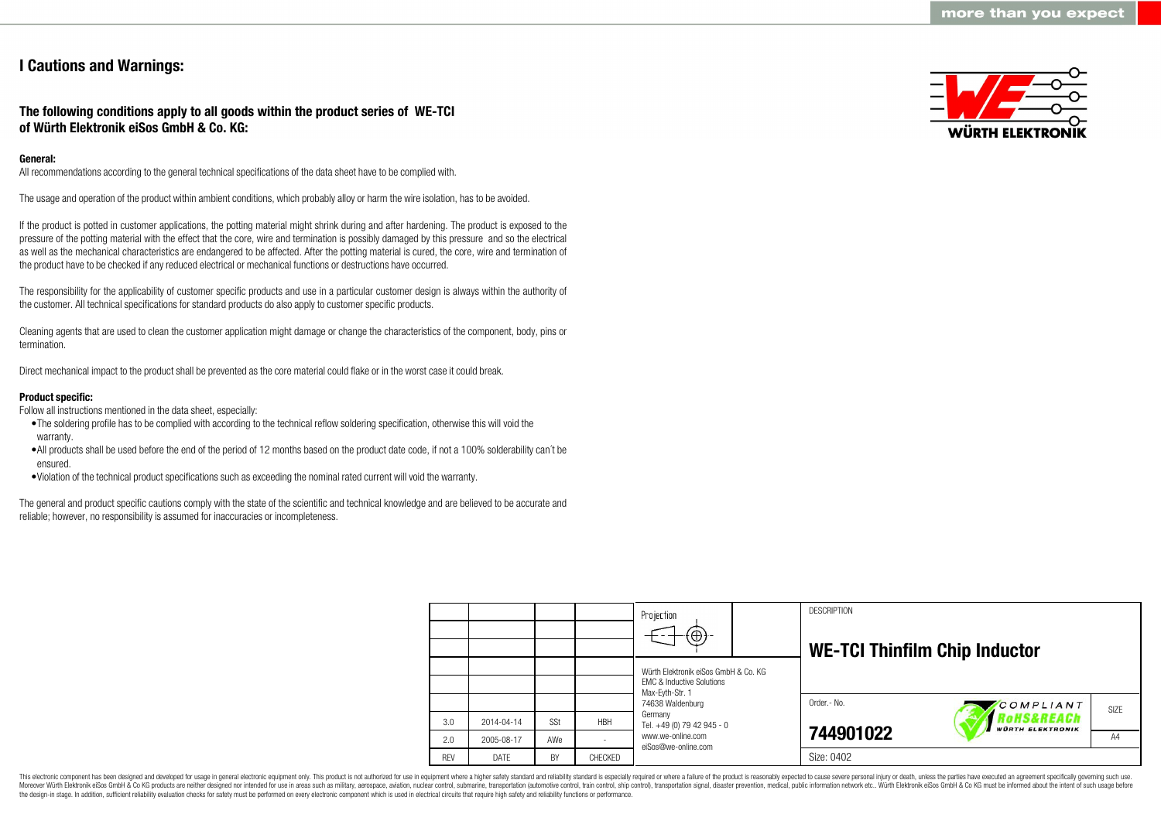## **I Cautions and Warnings:**

## **The following conditions apply to all goods within the product series of WE-TCI of Würth Elektronik eiSos GmbH & Co. KG:**

## **General:**

All recommendations according to the general technical specifications of the data sheet have to be complied with.

The usage and operation of the product within ambient conditions, which probably alloy or harm the wire isolation, has to be avoided.

If the product is potted in customer applications, the potting material might shrink during and after hardening. The product is exposed to the pressure of the potting material with the effect that the core, wire and termination is possibly damaged by this pressure and so the electrical as well as the mechanical characteristics are endangered to be affected. After the potting material is cured, the core, wire and termination of the product have to be checked if any reduced electrical or mechanical functions or destructions have occurred.

The responsibility for the applicability of customer specific products and use in a particular customer design is always within the authority of the customer. All technical specifications for standard products do also apply to customer specific products.

Cleaning agents that are used to clean the customer application might damage or change the characteristics of the component, body, pins or termination.

Direct mechanical impact to the product shall be prevented as the core material could flake or in the worst case it could break.

### **Product specific:**

Follow all instructions mentioned in the data sheet, especially:

- •The soldering profile has to be complied with according to the technical reflow soldering specification, otherwise this will void the warranty.
- •All products shall be used before the end of the period of 12 months based on the product date code, if not a 100% solderability can´t be ensured.
- •Violation of the technical product specifications such as exceeding the nominal rated current will void the warranty.

The general and product specific cautions comply with the state of the scientific and technical knowledge and are believed to be accurate and reliable; however, no responsibility is assumed for inaccuracies or incompleteness.



|            |            |            |            | Projection<br>$\Theta$                                                                          |  | <b>DESCRIPTION</b><br><b>WE-TCI Thinfilm Chip Inductor</b> |                                       |      |
|------------|------------|------------|------------|-------------------------------------------------------------------------------------------------|--|------------------------------------------------------------|---------------------------------------|------|
|            |            |            |            | Würth Elektronik eiSos GmbH & Co. KG<br><b>FMC &amp; Inductive Solutions</b><br>Max-Eyth-Str. 1 |  |                                                            |                                       |      |
|            |            |            |            | 74638 Waldenburg                                                                                |  | Order.- No.                                                | COMPLIANT                             | SIZE |
| 3.0        | 2014-04-14 | <b>SSt</b> | <b>HBH</b> | Germany<br>Tel. +49 (0) 79 42 945 - 0                                                           |  |                                                            | RoHS&REACh<br><b>WÜRTH ELEKTRONIK</b> |      |
| 2.0        | 2005-08-17 | AWe        |            | www.we-online.com<br>eiSos@we-online.com                                                        |  | 744901022                                                  |                                       | A4   |
| <b>REV</b> | DATE       | BY         | CHECKED    |                                                                                                 |  | Size: 0402                                                 |                                       |      |

This electronic component has been designed and developed for usage in general electronic equipment only. This product is not authorized for use in equipment where a higher safety standard and reliability standard is espec Moreover Würth Elektronik eiSos GmbH & Co KG products are neither designed nor intended for use in areas such as military, aerospace, aviation, nuclear control, submarine, transportation (automotive control), tain control) the design-in stage. In addition, sufficient reliability evaluation checks for safety must be performed on every electronic component which is used in electrical circuits that require high safety and reliability functions